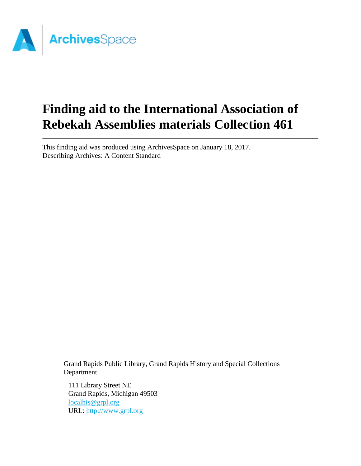

# **Finding aid to the International Association of Rebekah Assemblies materials Collection 461**

This finding aid was produced using ArchivesSpace on January 18, 2017. Describing Archives: A Content Standard

> Grand Rapids Public Library, Grand Rapids History and Special Collections Department

111 Library Street NE Grand Rapids, Michigan 49503 [localhis@grpl.org](mailto:localhis@grpl.org) URL:<http://www.grpl.org>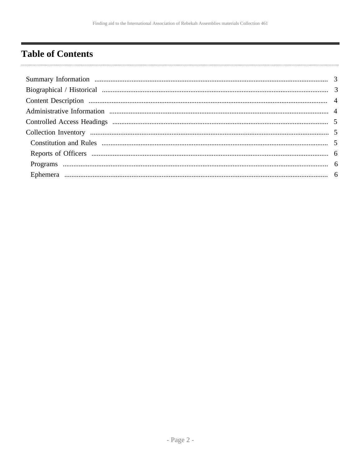# <span id="page-1-0"></span>**Table of Contents**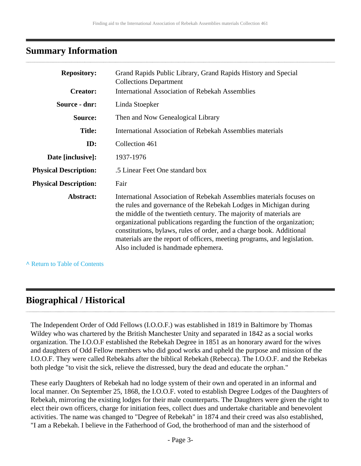# <span id="page-2-0"></span>**Summary Information**

| <b>Repository:</b>           | Grand Rapids Public Library, Grand Rapids History and Special<br><b>Collections Department</b>                                                                                                                                                                                                                                                                                                                                                                                        |
|------------------------------|---------------------------------------------------------------------------------------------------------------------------------------------------------------------------------------------------------------------------------------------------------------------------------------------------------------------------------------------------------------------------------------------------------------------------------------------------------------------------------------|
| <b>Creator:</b>              | <b>International Association of Rebekah Assemblies</b>                                                                                                                                                                                                                                                                                                                                                                                                                                |
| Source - dnr:                | Linda Stoepker                                                                                                                                                                                                                                                                                                                                                                                                                                                                        |
| Source:                      | Then and Now Genealogical Library                                                                                                                                                                                                                                                                                                                                                                                                                                                     |
| <b>Title:</b>                | International Association of Rebekah Assemblies materials                                                                                                                                                                                                                                                                                                                                                                                                                             |
| ID:                          | Collection 461                                                                                                                                                                                                                                                                                                                                                                                                                                                                        |
| Date [inclusive]:            | 1937-1976                                                                                                                                                                                                                                                                                                                                                                                                                                                                             |
| <b>Physical Description:</b> | .5 Linear Feet One standard box                                                                                                                                                                                                                                                                                                                                                                                                                                                       |
| <b>Physical Description:</b> | Fair                                                                                                                                                                                                                                                                                                                                                                                                                                                                                  |
| Abstract:                    | International Association of Rebekah Assemblies materials focuses on<br>the rules and governance of the Rebekah Lodges in Michigan during<br>the middle of the twentieth century. The majority of materials are<br>organizational publications regarding the function of the organization;<br>constitutions, bylaws, rules of order, and a charge book. Additional<br>materials are the report of officers, meeting programs, and legislation.<br>Also included is handmade ephemera. |

**^** [Return to Table of Contents](#page-1-0)

# <span id="page-2-1"></span>**Biographical / Historical**

The Independent Order of Odd Fellows (I.O.O.F.) was established in 1819 in Baltimore by Thomas Wildey who was chartered by the British Manchester Unity and separated in 1842 as a social works organization. The I.O.O.F established the Rebekah Degree in 1851 as an honorary award for the wives and daughters of Odd Fellow members who did good works and upheld the purpose and mission of the I.O.O.F. They were called Rebekahs after the biblical Rebekah (Rebecca). The I.O.O.F. and the Rebekas both pledge "to visit the sick, relieve the distressed, bury the dead and educate the orphan."

These early Daughters of Rebekah had no lodge system of their own and operated in an informal and local manner. On September 25, 1868, the I.O.O.F. voted to establish Degree Lodges of the Daughters of Rebekah, mirroring the existing lodges for their male counterparts. The Daughters were given the right to elect their own officers, charge for initiation fees, collect dues and undertake charitable and benevolent activities. The name was changed to "Degree of Rebekah" in 1874 and their creed was also established, "I am a Rebekah. I believe in the Fatherhood of God, the brotherhood of man and the sisterhood of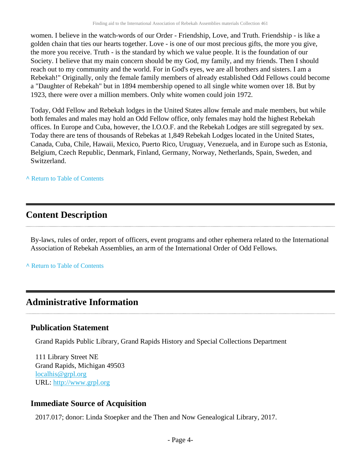women. I believe in the watch-words of our Order - Friendship, Love, and Truth. Friendship - is like a golden chain that ties our hearts together. Love - is one of our most precious gifts, the more you give, the more you receive. Truth - is the standard by which we value people. It is the foundation of our Society. I believe that my main concern should be my God, my family, and my friends. Then I should reach out to my community and the world. For in God's eyes, we are all brothers and sisters. I am a Rebekah!" Originally, only the female family members of already established Odd Fellows could become a "Daughter of Rebekah" but in 1894 membership opened to all single white women over 18. But by 1923, there were over a million members. Only white women could join 1972.

Today, Odd Fellow and Rebekah lodges in the United States allow female and male members, but while both females and males may hold an Odd Fellow office, only females may hold the highest Rebekah offices. In Europe and Cuba, however, the I.O.O.F. and the Rebekah Lodges are still segregated by sex. Today there are tens of thousands of Rebekas at 1,849 Rebekah Lodges located in the United States, Canada, Cuba, Chile, Hawaii, Mexico, Puerto Rico, Uruguay, Venezuela, and in Europe such as Estonia, Belgium, Czech Republic, Denmark, Finland, Germany, Norway, Netherlands, Spain, Sweden, and Switzerland.

**^** [Return to Table of Contents](#page-1-0)

# <span id="page-3-0"></span>**Content Description**

By-laws, rules of order, report of officers, event programs and other ephemera related to the International Association of Rebekah Assemblies, an arm of the International Order of Odd Fellows.

### **^** [Return to Table of Contents](#page-1-0)

## <span id="page-3-1"></span>**Administrative Information**

### **Publication Statement**

Grand Rapids Public Library, Grand Rapids History and Special Collections Department

111 Library Street NE Grand Rapids, Michigan 49503 [localhis@grpl.org](mailto:localhis@grpl.org) URL:<http://www.grpl.org>

### **Immediate Source of Acquisition**

2017.017; donor: Linda Stoepker and the Then and Now Genealogical Library, 2017.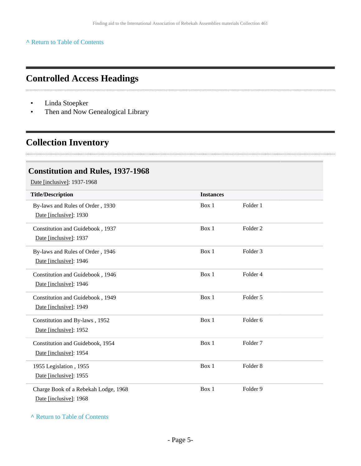#### **^** [Return to Table of Contents](#page-1-0)

# <span id="page-4-0"></span>**Controlled Access Headings**

• Linda Stoepker

• Then and Now Genealogical Library

# <span id="page-4-1"></span>**Collection Inventory**

### <span id="page-4-2"></span>**Constitution and Rules, 1937-1968**

Date [inclusive]: 1937-1968

| <b>Title/Description</b>                                       | <b>Instances</b> |                     |
|----------------------------------------------------------------|------------------|---------------------|
| By-laws and Rules of Order, 1930<br>Date [inclusive]: 1930     | Box 1            | Folder 1            |
| Constitution and Guidebook, 1937<br>Date [inclusive]: 1937     | Box 1            | Folder <sub>2</sub> |
| By-laws and Rules of Order, 1946<br>Date [inclusive]: 1946     | Box 1            | Folder <sub>3</sub> |
| Constitution and Guidebook, 1946<br>Date [inclusive]: 1946     | Box 1            | Folder 4            |
| Constitution and Guidebook, 1949<br>Date [inclusive]: 1949     | Box 1            | Folder 5            |
| Constitution and By-laws, 1952<br>Date [inclusive]: 1952       | Box 1            | Folder 6            |
| Constitution and Guidebook, 1954<br>Date [inclusive]: 1954     | Box 1            | Folder <sub>7</sub> |
| 1955 Legislation, 1955<br>Date [inclusive]: 1955               | Box 1            | Folder <sub>8</sub> |
| Charge Book of a Rebekah Lodge, 1968<br>Date [inclusive]: 1968 | Box 1            | Folder <sub>9</sub> |

**^** [Return to Table of Contents](#page-1-0)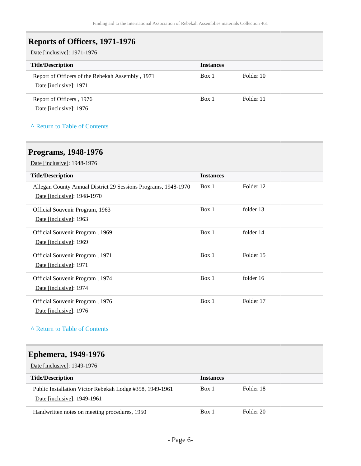### <span id="page-5-0"></span>**Reports of Officers, 1971-1976**

Date [inclusive]: 1971-1976

| <b>Title/Description</b>                                                   | <b>Instances</b> |           |
|----------------------------------------------------------------------------|------------------|-----------|
| Report of Officers of the Rebekah Assembly, 1971<br>Date [inclusive]: 1971 | Box 1            | Folder 10 |
| Report of Officers, 1976<br>Date [inclusive]: 1976                         | Box 1            | Folder 11 |

#### **^** [Return to Table of Contents](#page-1-0)

### <span id="page-5-1"></span>**Programs, 1948-1976**

Date [inclusive]: 1948-1976

| <b>Title/Description</b>                                                                      | <b>Instances</b> |           |
|-----------------------------------------------------------------------------------------------|------------------|-----------|
| Allegan County Annual District 29 Sessions Programs, 1948-1970<br>Date [inclusive]: 1948-1970 | Box 1            | Folder 12 |
| Official Souvenir Program, 1963<br>Date [inclusive]: 1963                                     | Box 1            | folder 13 |
| Official Souvenir Program, 1969<br>Date [inclusive]: 1969                                     | Box 1            | folder 14 |
| Official Souvenir Program, 1971<br>Date [inclusive]: 1971                                     | Box 1            | Folder 15 |
| Official Souvenir Program, 1974<br>Date [inclusive]: 1974                                     | Box 1            | folder 16 |
| Official Souvenir Program, 1976<br>Date [inclusive]: 1976                                     | Box 1            | Folder 17 |

#### **^** [Return to Table of Contents](#page-1-0)

### <span id="page-5-2"></span>**Ephemera, 1949-1976**

Date [inclusive]: 1949-1976 **Title/Description Instances** Public Installation Victor Rebekah Lodge #358, 1949-1961 Date [inclusive]: 1949-1961 Box 1 Folder 18 Handwritten notes on meeting procedures, 1950 Box 1 Folder 20